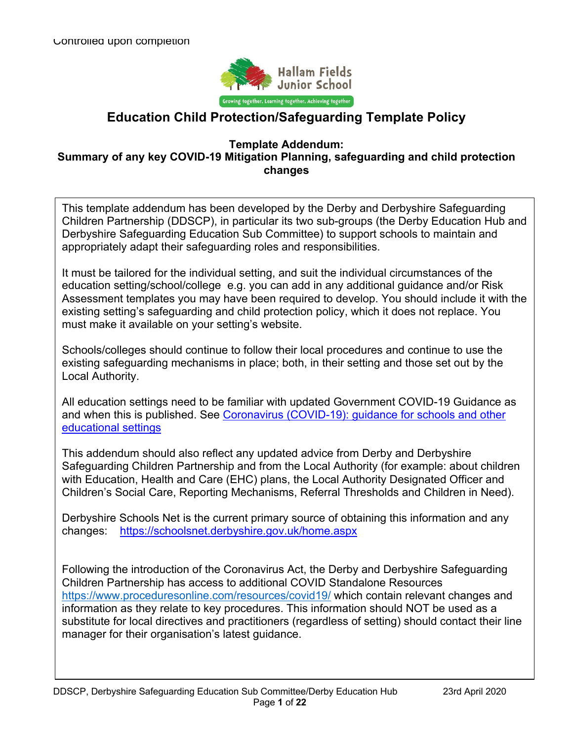

# **Education Child Protection/Safeguarding Template Policy**

#### **Template Addendum: Summary of any key COVID-19 Mitigation Planning, safeguarding and child protection changes**

This template addendum has been developed by the Derby and Derbyshire Safeguarding Children Partnership (DDSCP), in particular its two sub-groups (the Derby Education Hub and Derbyshire Safeguarding Education Sub Committee) to support schools to maintain and appropriately adapt their safeguarding roles and responsibilities.

It must be tailored for the individual setting, and suit the individual circumstances of the education setting/school/college e.g. you can add in any additional guidance and/or Risk Assessment templates you may have been required to develop. You should include it with the existing setting's safeguarding and child protection policy, which it does not replace. You must make it available on your setting's website.

Schools/colleges should continue to follow their local procedures and continue to use the existing safeguarding mechanisms in place; both, in their setting and those set out by the Local Authority.

All education settings need to be familiar with updated Government COVID-19 Guidance as and when this is published. See Coronavirus (COVID-19): guidance for schools and other educational settings

This addendum should also reflect any updated advice from Derby and Derbyshire Safeguarding Children Partnership and from the Local Authority (for example: about children with Education, Health and Care (EHC) plans, the Local Authority Designated Officer and Children's Social Care, Reporting Mechanisms, Referral Thresholds and Children in Need).

Derbyshire Schools Net is the current primary source of obtaining this information and any changes: https://schoolsnet.derbyshire.gov.uk/home.aspx

Following the introduction of the Coronavirus Act, the Derby and Derbyshire Safeguarding Children Partnership has access to additional COVID Standalone Resources https://www.proceduresonline.com/resources/covid19/ which contain relevant changes and information as they relate to key procedures. This information should NOT be used as a substitute for local directives and practitioners (regardless of setting) should contact their line manager for their organisation's latest guidance.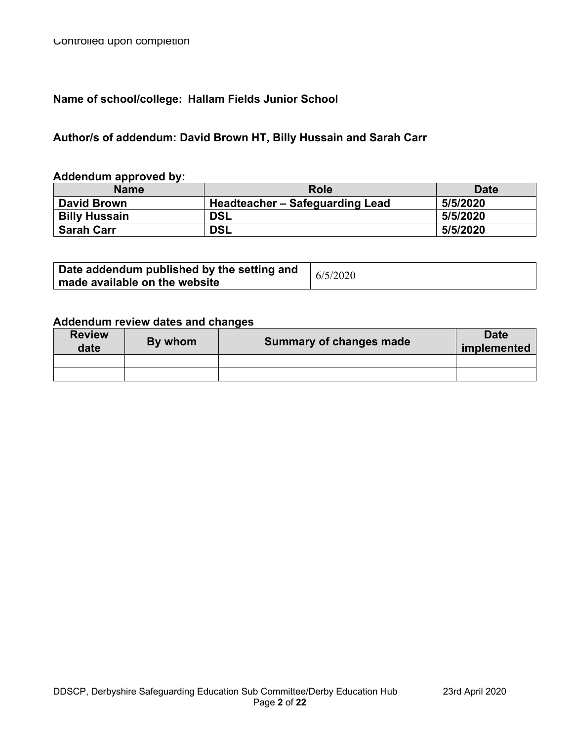# **Name of school/college: Hallam Fields Junior School**

# **Author/s of addendum: David Brown HT, Billy Hussain and Sarah Carr**

#### **Addendum approved by:**

| <b>Name</b>          | Role                            | <b>Date</b> |
|----------------------|---------------------------------|-------------|
| <b>David Brown</b>   | Headteacher - Safeguarding Lead | 5/5/2020    |
| <b>Billy Hussain</b> | <b>DSL</b>                      | 5/5/2020    |
| <b>Sarah Carr</b>    | <b>DSL</b>                      | 5/5/2020    |

| Date addendum published by the setting and | 6/5/2020 |
|--------------------------------------------|----------|
| $^{\prime}$ made available on the website  |          |

### **Addendum review dates and changes**

| <b>Review</b><br>date | By whom | <b>Summary of changes made</b> | <b>Date</b><br>implemented |
|-----------------------|---------|--------------------------------|----------------------------|
|                       |         |                                |                            |
|                       |         |                                |                            |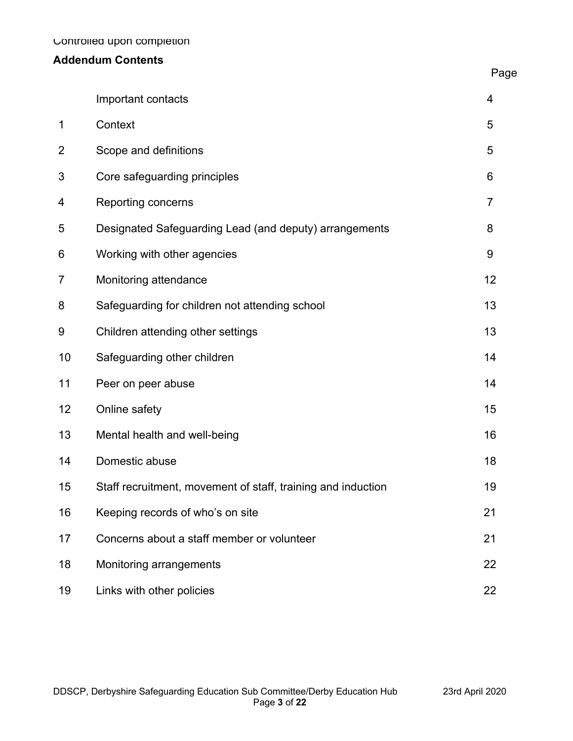# **Addendum Contents**

|                | Important contacts                                           | 4              |
|----------------|--------------------------------------------------------------|----------------|
| 1              | Context                                                      | 5              |
| $\overline{2}$ | Scope and definitions                                        | 5              |
| 3              | Core safeguarding principles                                 | 6              |
| 4              | Reporting concerns                                           | $\overline{7}$ |
| 5              | Designated Safeguarding Lead (and deputy) arrangements       | 8              |
| 6              | Working with other agencies                                  | 9              |
| 7              | Monitoring attendance                                        | 12             |
| 8              | Safeguarding for children not attending school               | 13             |
| 9              | Children attending other settings                            | 13             |
| 10             | Safeguarding other children                                  | 14             |
| 11             | Peer on peer abuse                                           | 14             |
| 12             | Online safety                                                | 15             |
| 13             | Mental health and well-being                                 | 16             |
| 14             | Domestic abuse                                               | 18             |
| 15             | Staff recruitment, movement of staff, training and induction | 19             |
| 16             | Keeping records of who's on site                             | 21             |
| 17             | Concerns about a staff member or volunteer                   | 21             |
| 18             | Monitoring arrangements                                      | 22             |
| 19             | Links with other policies                                    | 22             |

Page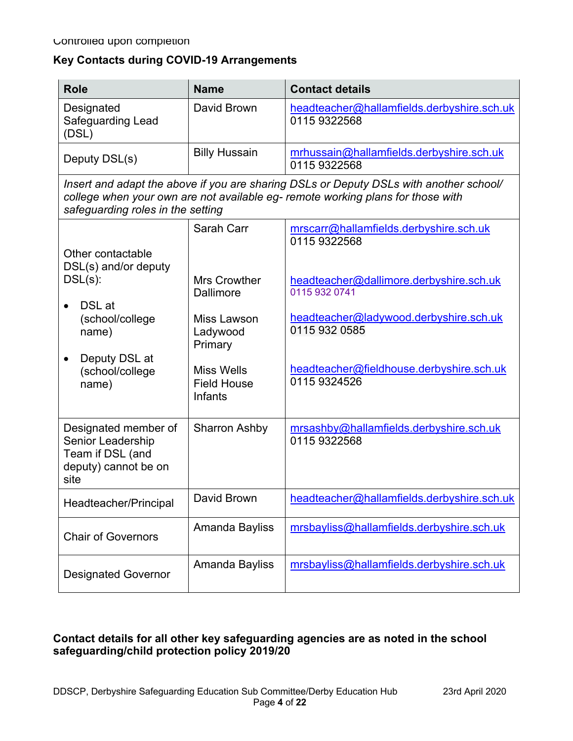#### **Key Contacts during COVID-19 Arrangements**

| <b>Role</b>                                                                                                                                                                                                    | <b>Name</b>                                        | <b>Contact details</b>                                     |  |  |  |
|----------------------------------------------------------------------------------------------------------------------------------------------------------------------------------------------------------------|----------------------------------------------------|------------------------------------------------------------|--|--|--|
| Designated<br>Safeguarding Lead<br>(DSL)                                                                                                                                                                       | David Brown                                        | headteacher@hallamfields.derbyshire.sch.uk<br>0115 9322568 |  |  |  |
| Deputy DSL(s)                                                                                                                                                                                                  | <b>Billy Hussain</b>                               | mrhussain@hallamfields.derbyshire.sch.uk<br>0115 9322568   |  |  |  |
| Insert and adapt the above if you are sharing DSLs or Deputy DSLs with another school/<br>college when your own are not available eg- remote working plans for those with<br>safeguarding roles in the setting |                                                    |                                                            |  |  |  |
| Other contactable                                                                                                                                                                                              | Sarah Carr                                         | mrscarr@hallamfields.derbyshire.sch.uk<br>0115 9322568     |  |  |  |
| DSL(s) and/or deputy<br>$DSL(s)$ :<br>DSL at<br>(school/college<br>name)                                                                                                                                       | <b>Mrs Crowther</b><br>Dallimore                   | headteacher@dallimore.derbyshire.sch.uk<br>0115 932 0741   |  |  |  |
|                                                                                                                                                                                                                | Miss Lawson<br>Ladywood<br>Primary                 | headteacher@ladywood.derbyshire.sch.uk<br>0115 932 0585    |  |  |  |
| Deputy DSL at<br>$\bullet$<br>(school/college<br>name)                                                                                                                                                         | <b>Miss Wells</b><br><b>Field House</b><br>Infants | headteacher@fieldhouse.derbyshire.sch.uk<br>0115 9324526   |  |  |  |
| Designated member of<br>Senior Leadership<br>Team if DSL (and<br>deputy) cannot be on<br>site                                                                                                                  | <b>Sharron Ashby</b>                               | mrsashby@hallamfields.derbyshire.sch.uk<br>0115 9322568    |  |  |  |
| Headteacher/Principal                                                                                                                                                                                          | David Brown                                        | headteacher@hallamfields.derbyshire.sch.uk                 |  |  |  |
| <b>Chair of Governors</b>                                                                                                                                                                                      | Amanda Bayliss                                     | mrsbayliss@hallamfields.derbyshire.sch.uk                  |  |  |  |
| <b>Designated Governor</b>                                                                                                                                                                                     | Amanda Bayliss                                     | mrsbayliss@hallamfields.derbyshire.sch.uk                  |  |  |  |

### **Contact details for all other key safeguarding agencies are as noted in the school safeguarding/child protection policy 2019/20**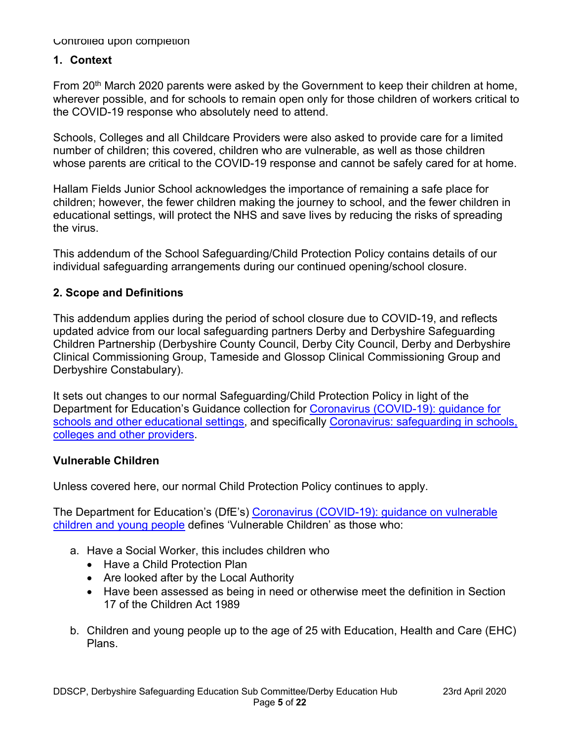#### **1. Context**

From 20<sup>th</sup> March 2020 parents were asked by the Government to keep their children at home, wherever possible, and for schools to remain open only for those children of workers critical to the COVID-19 response who absolutely need to attend.

Schools, Colleges and all Childcare Providers were also asked to provide care for a limited number of children; this covered, children who are vulnerable, as well as those children whose parents are critical to the COVID-19 response and cannot be safely cared for at home.

Hallam Fields Junior School acknowledges the importance of remaining a safe place for children; however, the fewer children making the journey to school, and the fewer children in educational settings, will protect the NHS and save lives by reducing the risks of spreading the virus.

This addendum of the School Safeguarding/Child Protection Policy contains details of our individual safeguarding arrangements during our continued opening/school closure.

#### **2. Scope and Definitions**

This addendum applies during the period of school closure due to COVID-19, and reflects updated advice from our local safeguarding partners Derby and Derbyshire Safeguarding Children Partnership (Derbyshire County Council, Derby City Council, Derby and Derbyshire Clinical Commissioning Group, Tameside and Glossop Clinical Commissioning Group and Derbyshire Constabulary).

It sets out changes to our normal Safeguarding/Child Protection Policy in light of the Department for Education's Guidance collection for Coronavirus (COVID-19): guidance for schools and other educational settings, and specifically Coronavirus: safeguarding in schools, colleges and other providers.

#### **Vulnerable Children**

Unless covered here, our normal Child Protection Policy continues to apply.

The Department for Education's (DfE's) Coronavirus (COVID-19): guidance on vulnerable children and young people defines 'Vulnerable Children' as those who:

- a. Have a Social Worker, this includes children who
	- Have a Child Protection Plan
	- Are looked after by the Local Authority
	- Have been assessed as being in need or otherwise meet the definition in Section 17 of the Children Act 1989
- b. Children and young people up to the age of 25 with Education, Health and Care (EHC) Plans.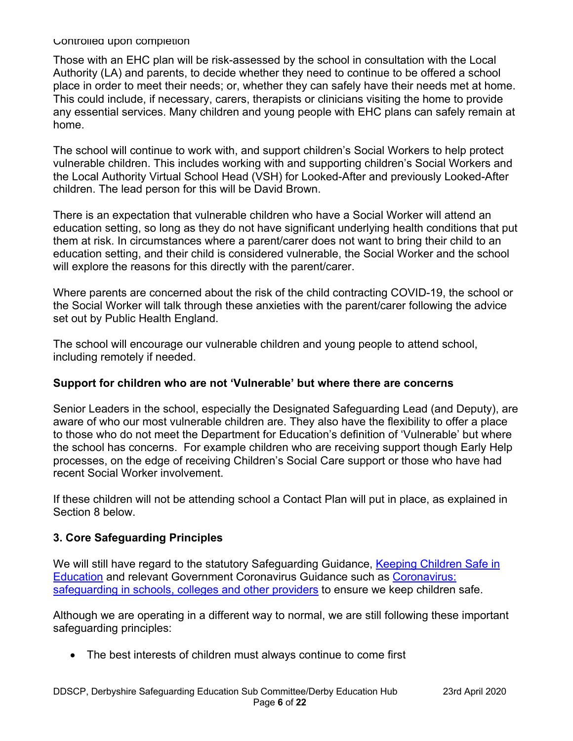Those with an EHC plan will be risk-assessed by the school in consultation with the Local Authority (LA) and parents, to decide whether they need to continue to be offered a school place in order to meet their needs; or, whether they can safely have their needs met at home. This could include, if necessary, carers, therapists or clinicians visiting the home to provide any essential services. Many children and young people with EHC plans can safely remain at home.

The school will continue to work with, and support children's Social Workers to help protect vulnerable children. This includes working with and supporting children's Social Workers and the Local Authority Virtual School Head (VSH) for Looked-After and previously Looked-After children. The lead person for this will be David Brown.

There is an expectation that vulnerable children who have a Social Worker will attend an education setting, so long as they do not have significant underlying health conditions that put them at risk. In circumstances where a parent/carer does not want to bring their child to an education setting, and their child is considered vulnerable, the Social Worker and the school will explore the reasons for this directly with the parent/carer.

Where parents are concerned about the risk of the child contracting COVID-19, the school or the Social Worker will talk through these anxieties with the parent/carer following the advice set out by Public Health England.

The school will encourage our vulnerable children and young people to attend school, including remotely if needed.

#### **Support for children who are not 'Vulnerable' but where there are concerns**

Senior Leaders in the school, especially the Designated Safeguarding Lead (and Deputy), are aware of who our most vulnerable children are. They also have the flexibility to offer a place to those who do not meet the Department for Education's definition of 'Vulnerable' but where the school has concerns. For example children who are receiving support though Early Help processes, on the edge of receiving Children's Social Care support or those who have had recent Social Worker involvement.

If these children will not be attending school a Contact Plan will put in place, as explained in Section 8 below.

# **3. Core Safeguarding Principles**

We will still have regard to the statutory Safeguarding Guidance, Keeping Children Safe in Education and relevant Government Coronavirus Guidance such as Coronavirus: safeguarding in schools, colleges and other providers to ensure we keep children safe.

Although we are operating in a different way to normal, we are still following these important safeguarding principles:

• The best interests of children must always continue to come first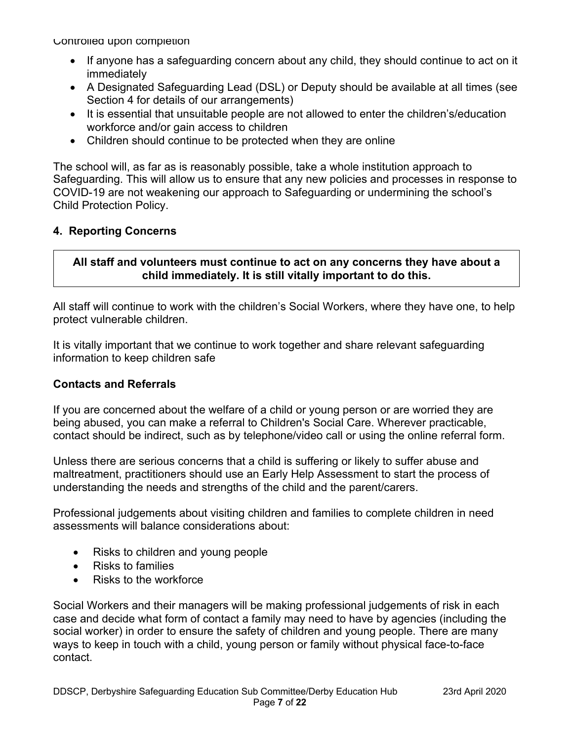- If anyone has a safeguarding concern about any child, they should continue to act on it immediately
- A Designated Safeguarding Lead (DSL) or Deputy should be available at all times (see Section 4 for details of our arrangements)
- It is essential that unsuitable people are not allowed to enter the children's/education workforce and/or gain access to children
- Children should continue to be protected when they are online

The school will, as far as is reasonably possible, take a whole institution approach to Safeguarding. This will allow us to ensure that any new policies and processes in response to COVID-19 are not weakening our approach to Safeguarding or undermining the school's Child Protection Policy.

### **4. Reporting Concerns**

### **All staff and volunteers must continue to act on any concerns they have about a child immediately. It is still vitally important to do this.**

All staff will continue to work with the children's Social Workers, where they have one, to help protect vulnerable children.

It is vitally important that we continue to work together and share relevant safeguarding information to keep children safe

#### **Contacts and Referrals**

If you are concerned about the welfare of a child or young person or are worried they are being abused, you can make a referral to Children's Social Care. Wherever practicable, contact should be indirect, such as by telephone/video call or using the online referral form.

Unless there are serious concerns that a child is suffering or likely to suffer abuse and maltreatment, practitioners should use an Early Help Assessment to start the process of understanding the needs and strengths of the child and the parent/carers.

Professional judgements about visiting children and families to complete children in need assessments will balance considerations about:

- Risks to children and young people
- Risks to families
- Risks to the workforce

Social Workers and their managers will be making professional judgements of risk in each case and decide what form of contact a family may need to have by agencies (including the social worker) in order to ensure the safety of children and young people. There are many ways to keep in touch with a child, young person or family without physical face-to-face contact.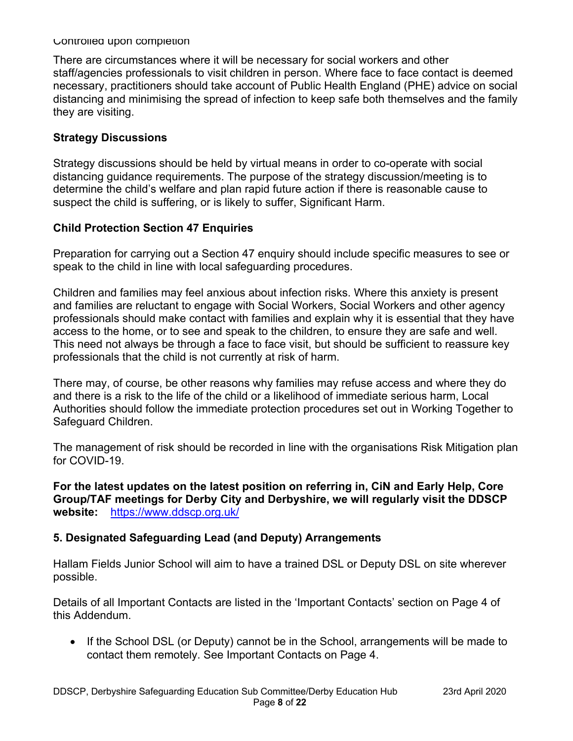There are circumstances where it will be necessary for social workers and other staff/agencies professionals to visit children in person. Where face to face contact is deemed necessary, practitioners should take account of Public Health England (PHE) advice on social distancing and minimising the spread of infection to keep safe both themselves and the family they are visiting.

#### **Strategy Discussions**

Strategy discussions should be held by virtual means in order to co-operate with social distancing guidance requirements. The purpose of the strategy discussion/meeting is to determine the child's welfare and plan rapid future action if there is reasonable cause to suspect the child is suffering, or is likely to suffer, Significant Harm.

### **Child Protection Section 47 Enquiries**

Preparation for carrying out a Section 47 enquiry should include specific measures to see or speak to the child in line with local safeguarding procedures.

Children and families may feel anxious about infection risks. Where this anxiety is present and families are reluctant to engage with Social Workers, Social Workers and other agency professionals should make contact with families and explain why it is essential that they have access to the home, or to see and speak to the children, to ensure they are safe and well. This need not always be through a face to face visit, but should be sufficient to reassure key professionals that the child is not currently at risk of harm.

There may, of course, be other reasons why families may refuse access and where they do and there is a risk to the life of the child or a likelihood of immediate serious harm, Local Authorities should follow the immediate protection procedures set out in Working Together to Safeguard Children.

The management of risk should be recorded in line with the organisations Risk Mitigation plan for COVID-19.

**For the latest updates on the latest position on referring in, CiN and Early Help, Core Group/TAF meetings for Derby City and Derbyshire, we will regularly visit the DDSCP website:** https://www.ddscp.org.uk/

# **5. Designated Safeguarding Lead (and Deputy) Arrangements**

Hallam Fields Junior School will aim to have a trained DSL or Deputy DSL on site wherever possible.

Details of all Important Contacts are listed in the 'Important Contacts' section on Page 4 of this Addendum.

• If the School DSL (or Deputy) cannot be in the School, arrangements will be made to contact them remotely. See Important Contacts on Page 4.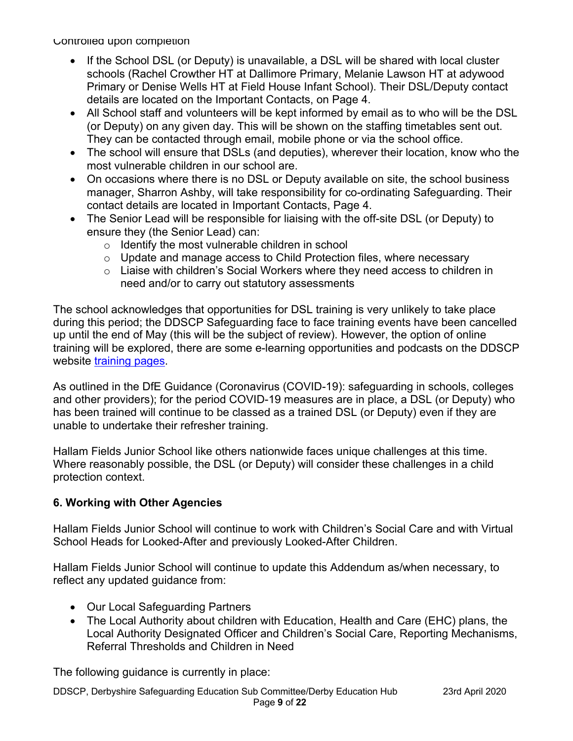- If the School DSL (or Deputy) is unavailable, a DSL will be shared with local cluster schools (Rachel Crowther HT at Dallimore Primary, Melanie Lawson HT at adywood Primary or Denise Wells HT at Field House Infant School). Their DSL/Deputy contact details are located on the Important Contacts, on Page 4.
- All School staff and volunteers will be kept informed by email as to who will be the DSL (or Deputy) on any given day. This will be shown on the staffing timetables sent out. They can be contacted through email, mobile phone or via the school office.
- The school will ensure that DSLs (and deputies), wherever their location, know who the most vulnerable children in our school are.
- On occasions where there is no DSL or Deputy available on site, the school business manager, Sharron Ashby, will take responsibility for co-ordinating Safeguarding. Their contact details are located in Important Contacts, Page 4.
- The Senior Lead will be responsible for liaising with the off-site DSL (or Deputy) to ensure they (the Senior Lead) can:
	- o Identify the most vulnerable children in school
	- o Update and manage access to Child Protection files, where necessary
	- o Liaise with children's Social Workers where they need access to children in need and/or to carry out statutory assessments

The school acknowledges that opportunities for DSL training is very unlikely to take place during this period; the DDSCP Safeguarding face to face training events have been cancelled up until the end of May (this will be the subject of review). However, the option of online training will be explored, there are some e-learning opportunities and podcasts on the DDSCP website training pages.

As outlined in the DfE Guidance (Coronavirus (COVID-19): safeguarding in schools, colleges and other providers); for the period COVID-19 measures are in place, a DSL (or Deputy) who has been trained will continue to be classed as a trained DSL (or Deputy) even if they are unable to undertake their refresher training.

Hallam Fields Junior School like others nationwide faces unique challenges at this time. Where reasonably possible, the DSL (or Deputy) will consider these challenges in a child protection context.

#### **6. Working with Other Agencies**

Hallam Fields Junior School will continue to work with Children's Social Care and with Virtual School Heads for Looked-After and previously Looked-After Children.

Hallam Fields Junior School will continue to update this Addendum as/when necessary, to reflect any updated guidance from:

- Our Local Safeguarding Partners
- The Local Authority about children with Education, Health and Care (EHC) plans, the Local Authority Designated Officer and Children's Social Care, Reporting Mechanisms, Referral Thresholds and Children in Need

The following guidance is currently in place:

DDSCP, Derbyshire Safeguarding Education Sub Committee/Derby Education Hub 23rd April 2020 Page **9** of **22**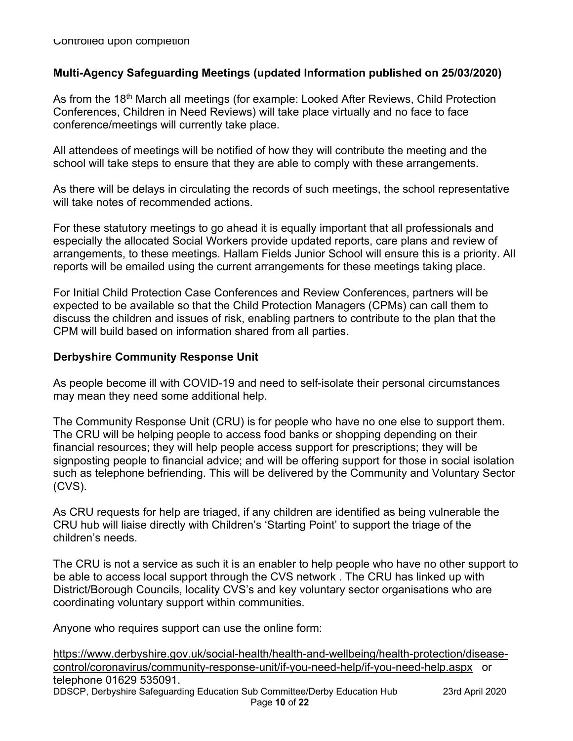### **Multi-Agency Safeguarding Meetings (updated Information published on 25/03/2020)**

As from the 18<sup>th</sup> March all meetings (for example: Looked After Reviews, Child Protection Conferences, Children in Need Reviews) will take place virtually and no face to face conference/meetings will currently take place.

All attendees of meetings will be notified of how they will contribute the meeting and the school will take steps to ensure that they are able to comply with these arrangements.

As there will be delays in circulating the records of such meetings, the school representative will take notes of recommended actions.

For these statutory meetings to go ahead it is equally important that all professionals and especially the allocated Social Workers provide updated reports, care plans and review of arrangements, to these meetings. Hallam Fields Junior School will ensure this is a priority. All reports will be emailed using the current arrangements for these meetings taking place.

For Initial Child Protection Case Conferences and Review Conferences, partners will be expected to be available so that the Child Protection Managers (CPMs) can call them to discuss the children and issues of risk, enabling partners to contribute to the plan that the CPM will build based on information shared from all parties.

#### **Derbyshire Community Response Unit**

As people become ill with COVID-19 and need to self-isolate their personal circumstances may mean they need some additional help.

The Community Response Unit (CRU) is for people who have no one else to support them. The CRU will be helping people to access food banks or shopping depending on their financial resources; they will help people access support for prescriptions; they will be signposting people to financial advice; and will be offering support for those in social isolation such as telephone befriending. This will be delivered by the Community and Voluntary Sector (CVS).

As CRU requests for help are triaged, if any children are identified as being vulnerable the CRU hub will liaise directly with Children's 'Starting Point' to support the triage of the children's needs.

The CRU is not a service as such it is an enabler to help people who have no other support to be able to access local support through the CVS network . The CRU has linked up with District/Borough Councils, locality CVS's and key voluntary sector organisations who are coordinating voluntary support within communities.

Anyone who requires support can use the online form:

DDSCP, Derbyshire Safeguarding Education Sub Committee/Derby Education Hub 23rd April 2020 Page **10** of **22** https://www.derbyshire.gov.uk/social-health/health-and-wellbeing/health-protection/diseasecontrol/coronavirus/community-response-unit/if-you-need-help/if-you-need-help.aspx or telephone 01629 535091.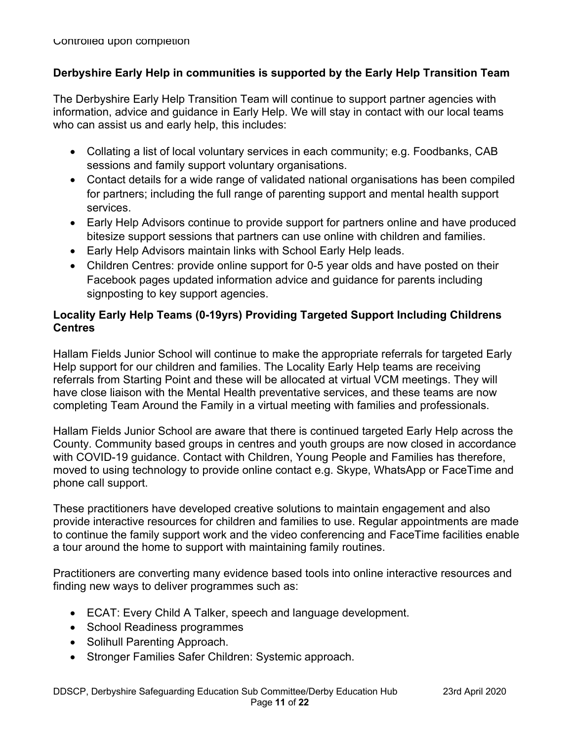### **Derbyshire Early Help in communities is supported by the Early Help Transition Team**

The Derbyshire Early Help Transition Team will continue to support partner agencies with information, advice and guidance in Early Help. We will stay in contact with our local teams who can assist us and early help, this includes:

- Collating a list of local voluntary services in each community; e.g. Foodbanks, CAB sessions and family support voluntary organisations.
- Contact details for a wide range of validated national organisations has been compiled for partners; including the full range of parenting support and mental health support services.
- Early Help Advisors continue to provide support for partners online and have produced bitesize support sessions that partners can use online with children and families.
- Early Help Advisors maintain links with School Early Help leads.
- Children Centres: provide online support for 0-5 year olds and have posted on their Facebook pages updated information advice and guidance for parents including signposting to key support agencies.

# **Locality Early Help Teams (0-19yrs) Providing Targeted Support Including Childrens Centres**

Hallam Fields Junior School will continue to make the appropriate referrals for targeted Early Help support for our children and families. The Locality Early Help teams are receiving referrals from Starting Point and these will be allocated at virtual VCM meetings. They will have close liaison with the Mental Health preventative services, and these teams are now completing Team Around the Family in a virtual meeting with families and professionals.

Hallam Fields Junior School are aware that there is continued targeted Early Help across the County. Community based groups in centres and youth groups are now closed in accordance with COVID-19 guidance. Contact with Children, Young People and Families has therefore, moved to using technology to provide online contact e.g. Skype, WhatsApp or FaceTime and phone call support.

These practitioners have developed creative solutions to maintain engagement and also provide interactive resources for children and families to use. Regular appointments are made to continue the family support work and the video conferencing and FaceTime facilities enable a tour around the home to support with maintaining family routines.

Practitioners are converting many evidence based tools into online interactive resources and finding new ways to deliver programmes such as:

- ECAT: Every Child A Talker, speech and language development.
- School Readiness programmes
- Solihull Parenting Approach.
- Stronger Families Safer Children: Systemic approach.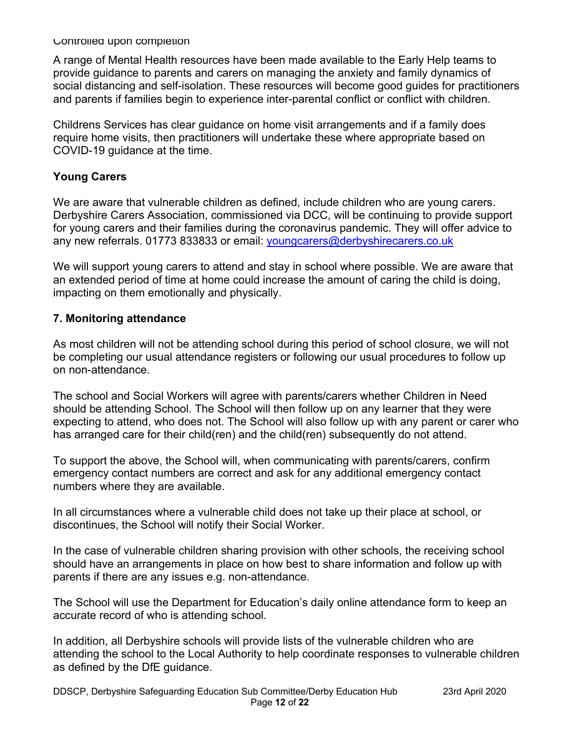A range of Mental Health resources have been made available to the Early Help teams to provide guidance to parents and carers on managing the anxiety and family dynamics of social distancing and self-isolation. These resources will become good guides for practitioners and parents if families begin to experience inter-parental conflict or conflict with children.

Childrens Services has clear guidance on home visit arrangements and if a family does require home visits, then practitioners will undertake these where appropriate based on COVID-19 guidance at the time.

### **Young Carers**

We are aware that vulnerable children as defined, include children who are young carers. Derbyshire Carers Association, commissioned via DCC, will be continuing to provide support for young carers and their families during the coronavirus pandemic. They will offer advice to any new referrals. 01773 833833 or email: youngcarers@derbyshirecarers.co.uk

We will support young carers to attend and stay in school where possible. We are aware that an extended period of time at home could increase the amount of caring the child is doing, impacting on them emotionally and physically.

#### **7. Monitoring attendance**

As most children will not be attending school during this period of school closure, we will not be completing our usual attendance registers or following our usual procedures to follow up on non-attendance.

The school and Social Workers will agree with parents/carers whether Children in Need should be attending School. The School will then follow up on any learner that they were expecting to attend, who does not. The School will also follow up with any parent or carer who has arranged care for their child(ren) and the child(ren) subsequently do not attend.

To support the above, the School will, when communicating with parents/carers, confirm emergency contact numbers are correct and ask for any additional emergency contact numbers where they are available.

In all circumstances where a vulnerable child does not take up their place at school, or discontinues, the School will notify their Social Worker.

In the case of vulnerable children sharing provision with other schools, the receiving school should have an arrangements in place on how best to share information and follow up with parents if there are any issues e.g. non-attendance.

The School will use the Department for Education's daily online attendance form to keep an accurate record of who is attending school.

In addition, all Derbyshire schools will provide lists of the vulnerable children who are attending the school to the Local Authority to help coordinate responses to vulnerable children as defined by the DfE guidance.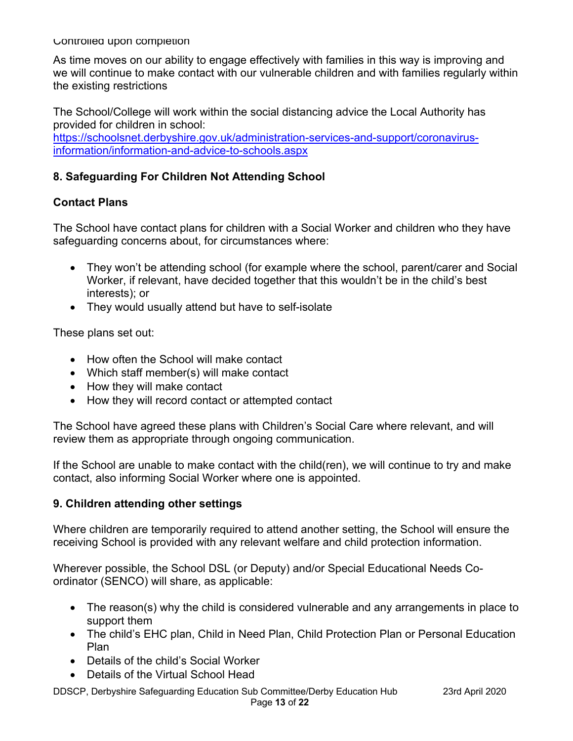As time moves on our ability to engage effectively with families in this way is improving and we will continue to make contact with our vulnerable children and with families regularly within the existing restrictions

The School/College will work within the social distancing advice the Local Authority has provided for children in school:

https://schoolsnet.derbyshire.gov.uk/administration-services-and-support/coronavirusinformation/information-and-advice-to-schools.aspx

### **8. Safeguarding For Children Not Attending School**

#### **Contact Plans**

The School have contact plans for children with a Social Worker and children who they have safeguarding concerns about, for circumstances where:

- They won't be attending school (for example where the school, parent/carer and Social Worker, if relevant, have decided together that this wouldn't be in the child's best interests); or
- They would usually attend but have to self-isolate

These plans set out:

- How often the School will make contact
- Which staff member(s) will make contact
- How they will make contact
- How they will record contact or attempted contact

The School have agreed these plans with Children's Social Care where relevant, and will review them as appropriate through ongoing communication.

If the School are unable to make contact with the child(ren), we will continue to try and make contact, also informing Social Worker where one is appointed.

#### **9. Children attending other settings**

Where children are temporarily required to attend another setting, the School will ensure the receiving School is provided with any relevant welfare and child protection information.

Wherever possible, the School DSL (or Deputy) and/or Special Educational Needs Coordinator (SENCO) will share, as applicable:

- The reason(s) why the child is considered vulnerable and any arrangements in place to support them
- The child's EHC plan, Child in Need Plan, Child Protection Plan or Personal Education Plan
- Details of the child's Social Worker
- Details of the Virtual School Head

DDSCP, Derbyshire Safeguarding Education Sub Committee/Derby Education Hub 23rd April 2020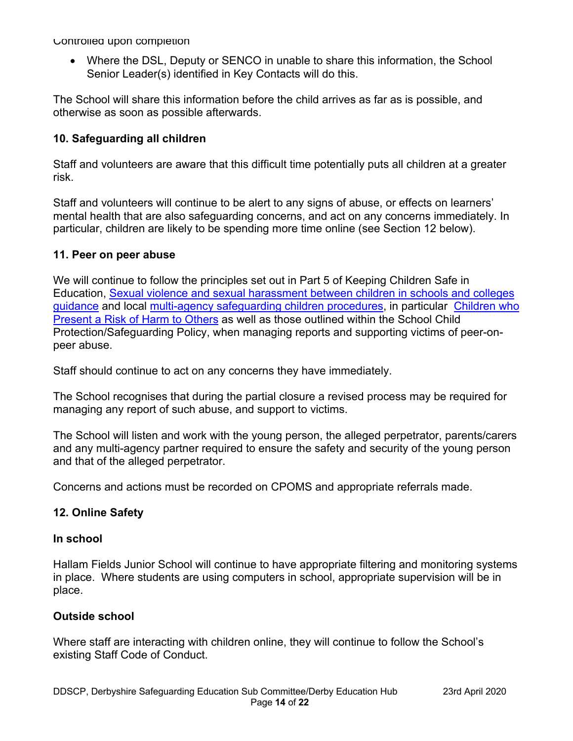• Where the DSL, Deputy or SENCO in unable to share this information, the School Senior Leader(s) identified in Key Contacts will do this.

The School will share this information before the child arrives as far as is possible, and otherwise as soon as possible afterwards.

### **10. Safeguarding all children**

Staff and volunteers are aware that this difficult time potentially puts all children at a greater risk.

Staff and volunteers will continue to be alert to any signs of abuse, or effects on learners' mental health that are also safeguarding concerns, and act on any concerns immediately. In particular, children are likely to be spending more time online (see Section 12 below).

#### **11. Peer on peer abuse**

We will continue to follow the principles set out in Part 5 of Keeping Children Safe in Education, Sexual violence and sexual harassment between children in schools and colleges guidance and local multi-agency safeguarding children procedures, in particular Children who Present a Risk of Harm to Others as well as those outlined within the School Child Protection/Safeguarding Policy, when managing reports and supporting victims of peer-onpeer abuse.

Staff should continue to act on any concerns they have immediately.

The School recognises that during the partial closure a revised process may be required for managing any report of such abuse, and support to victims.

The School will listen and work with the young person, the alleged perpetrator, parents/carers and any multi-agency partner required to ensure the safety and security of the young person and that of the alleged perpetrator.

Concerns and actions must be recorded on CPOMS and appropriate referrals made.

#### **12. Online Safety**

#### **In school**

Hallam Fields Junior School will continue to have appropriate filtering and monitoring systems in place. Where students are using computers in school, appropriate supervision will be in place.

#### **Outside school**

Where staff are interacting with children online, they will continue to follow the School's existing Staff Code of Conduct.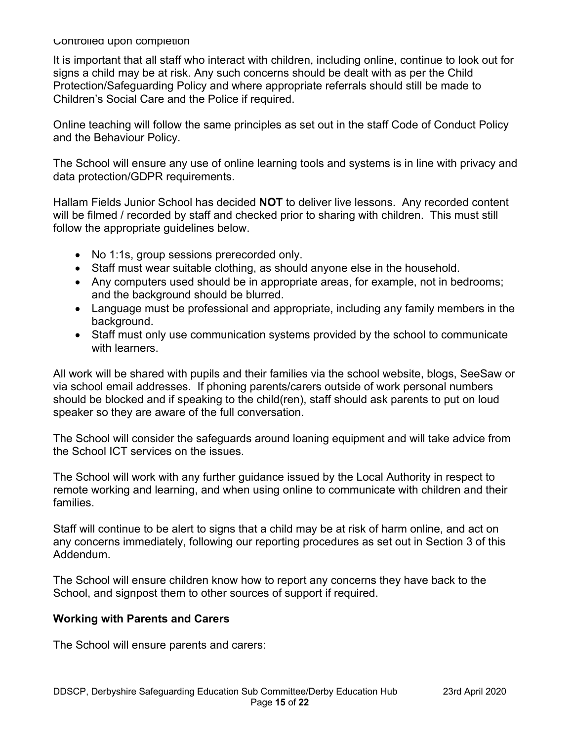It is important that all staff who interact with children, including online, continue to look out for signs a child may be at risk. Any such concerns should be dealt with as per the Child Protection/Safeguarding Policy and where appropriate referrals should still be made to Children's Social Care and the Police if required.

Online teaching will follow the same principles as set out in the staff Code of Conduct Policy and the Behaviour Policy.

The School will ensure any use of online learning tools and systems is in line with privacy and data protection/GDPR requirements.

Hallam Fields Junior School has decided **NOT** to deliver live lessons. Any recorded content will be filmed / recorded by staff and checked prior to sharing with children. This must still follow the appropriate guidelines below.

- No 1:1s, group sessions prerecorded only.
- Staff must wear suitable clothing, as should anyone else in the household.
- Any computers used should be in appropriate areas, for example, not in bedrooms; and the background should be blurred.
- Language must be professional and appropriate, including any family members in the background.
- Staff must only use communication systems provided by the school to communicate with learners.

All work will be shared with pupils and their families via the school website, blogs, SeeSaw or via school email addresses. If phoning parents/carers outside of work personal numbers should be blocked and if speaking to the child(ren), staff should ask parents to put on loud speaker so they are aware of the full conversation.

The School will consider the safeguards around loaning equipment and will take advice from the School ICT services on the issues.

The School will work with any further guidance issued by the Local Authority in respect to remote working and learning, and when using online to communicate with children and their families.

Staff will continue to be alert to signs that a child may be at risk of harm online, and act on any concerns immediately, following our reporting procedures as set out in Section 3 of this Addendum.

The School will ensure children know how to report any concerns they have back to the School, and signpost them to other sources of support if required.

#### **Working with Parents and Carers**

The School will ensure parents and carers: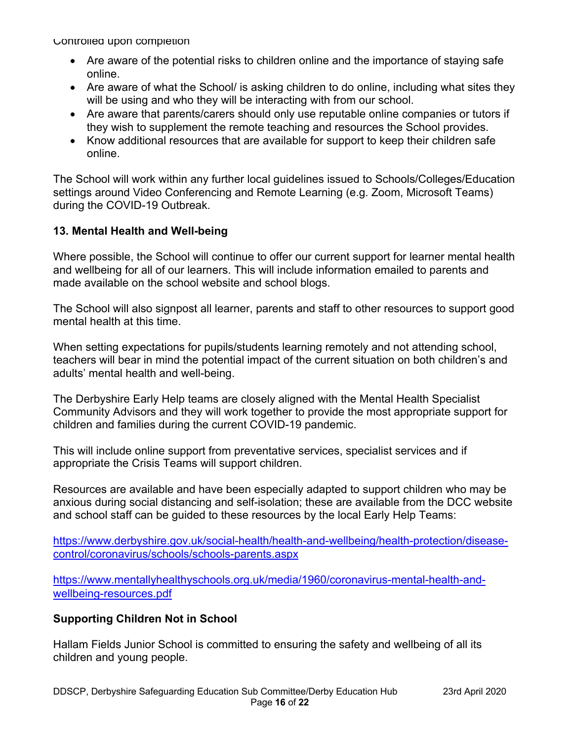- Are aware of the potential risks to children online and the importance of staying safe online.
- Are aware of what the School/ is asking children to do online, including what sites they will be using and who they will be interacting with from our school.
- Are aware that parents/carers should only use reputable online companies or tutors if they wish to supplement the remote teaching and resources the School provides.
- Know additional resources that are available for support to keep their children safe online.

The School will work within any further local guidelines issued to Schools/Colleges/Education settings around Video Conferencing and Remote Learning (e.g. Zoom, Microsoft Teams) during the COVID-19 Outbreak.

# **13. Mental Health and Well-being**

Where possible, the School will continue to offer our current support for learner mental health and wellbeing for all of our learners. This will include information emailed to parents and made available on the school website and school blogs.

The School will also signpost all learner, parents and staff to other resources to support good mental health at this time.

When setting expectations for pupils/students learning remotely and not attending school, teachers will bear in mind the potential impact of the current situation on both children's and adults' mental health and well-being.

The Derbyshire Early Help teams are closely aligned with the Mental Health Specialist Community Advisors and they will work together to provide the most appropriate support for children and families during the current COVID-19 pandemic.

This will include online support from preventative services, specialist services and if appropriate the Crisis Teams will support children.

Resources are available and have been especially adapted to support children who may be anxious during social distancing and self-isolation; these are available from the DCC website and school staff can be guided to these resources by the local Early Help Teams:

https://www.derbyshire.gov.uk/social-health/health-and-wellbeing/health-protection/diseasecontrol/coronavirus/schools/schools-parents.aspx

https://www.mentallyhealthyschools.org.uk/media/1960/coronavirus-mental-health-andwellbeing-resources.pdf

#### **Supporting Children Not in School**

Hallam Fields Junior School is committed to ensuring the safety and wellbeing of all its children and young people.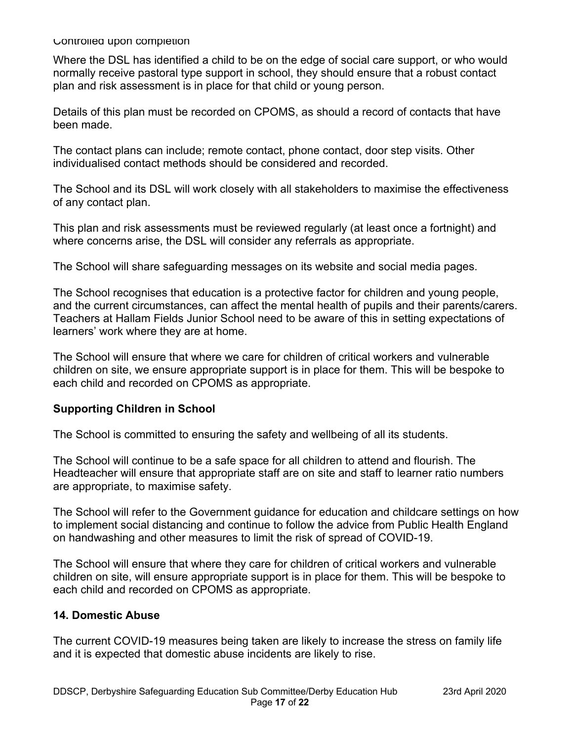Where the DSL has identified a child to be on the edge of social care support, or who would normally receive pastoral type support in school, they should ensure that a robust contact plan and risk assessment is in place for that child or young person.

Details of this plan must be recorded on CPOMS, as should a record of contacts that have been made.

The contact plans can include; remote contact, phone contact, door step visits. Other individualised contact methods should be considered and recorded.

The School and its DSL will work closely with all stakeholders to maximise the effectiveness of any contact plan.

This plan and risk assessments must be reviewed regularly (at least once a fortnight) and where concerns arise, the DSL will consider any referrals as appropriate.

The School will share safeguarding messages on its website and social media pages.

The School recognises that education is a protective factor for children and young people, and the current circumstances, can affect the mental health of pupils and their parents/carers. Teachers at Hallam Fields Junior School need to be aware of this in setting expectations of learners' work where they are at home.

The School will ensure that where we care for children of critical workers and vulnerable children on site, we ensure appropriate support is in place for them. This will be bespoke to each child and recorded on CPOMS as appropriate.

#### **Supporting Children in School**

The School is committed to ensuring the safety and wellbeing of all its students.

The School will continue to be a safe space for all children to attend and flourish. The Headteacher will ensure that appropriate staff are on site and staff to learner ratio numbers are appropriate, to maximise safety.

The School will refer to the Government guidance for education and childcare settings on how to implement social distancing and continue to follow the advice from Public Health England on handwashing and other measures to limit the risk of spread of COVID-19.

The School will ensure that where they care for children of critical workers and vulnerable children on site, will ensure appropriate support is in place for them. This will be bespoke to each child and recorded on CPOMS as appropriate.

#### **14. Domestic Abuse**

The current COVID-19 measures being taken are likely to increase the stress on family life and it is expected that domestic abuse incidents are likely to rise.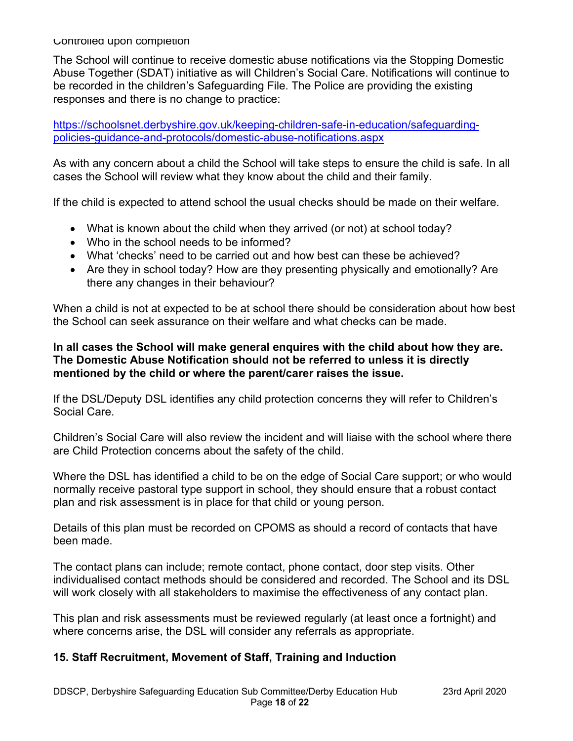The School will continue to receive domestic abuse notifications via the Stopping Domestic Abuse Together (SDAT) initiative as will Children's Social Care. Notifications will continue to be recorded in the children's Safeguarding File. The Police are providing the existing responses and there is no change to practice:

https://schoolsnet.derbyshire.gov.uk/keeping-children-safe-in-education/safeguardingpolicies-guidance-and-protocols/domestic-abuse-notifications.aspx

As with any concern about a child the School will take steps to ensure the child is safe. In all cases the School will review what they know about the child and their family.

If the child is expected to attend school the usual checks should be made on their welfare.

- What is known about the child when they arrived (or not) at school today?
- Who in the school needs to be informed?
- What 'checks' need to be carried out and how best can these be achieved?
- Are they in school today? How are they presenting physically and emotionally? Are there any changes in their behaviour?

When a child is not at expected to be at school there should be consideration about how best the School can seek assurance on their welfare and what checks can be made.

#### **In all cases the School will make general enquires with the child about how they are. The Domestic Abuse Notification should not be referred to unless it is directly mentioned by the child or where the parent/carer raises the issue.**

If the DSL/Deputy DSL identifies any child protection concerns they will refer to Children's Social Care.

Children's Social Care will also review the incident and will liaise with the school where there are Child Protection concerns about the safety of the child.

Where the DSL has identified a child to be on the edge of Social Care support; or who would normally receive pastoral type support in school, they should ensure that a robust contact plan and risk assessment is in place for that child or young person.

Details of this plan must be recorded on CPOMS as should a record of contacts that have been made.

The contact plans can include; remote contact, phone contact, door step visits. Other individualised contact methods should be considered and recorded. The School and its DSL will work closely with all stakeholders to maximise the effectiveness of any contact plan.

This plan and risk assessments must be reviewed regularly (at least once a fortnight) and where concerns arise, the DSL will consider any referrals as appropriate.

#### **15. Staff Recruitment, Movement of Staff, Training and Induction**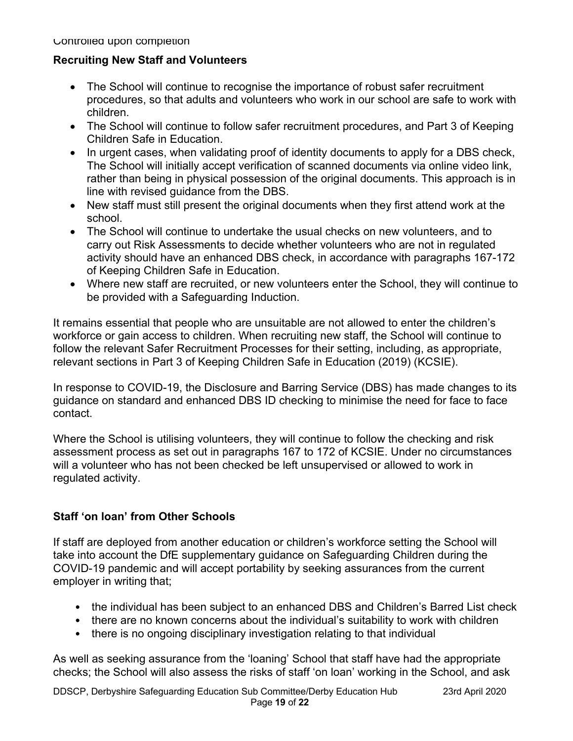### **Recruiting New Staff and Volunteers**

- The School will continue to recognise the importance of robust safer recruitment procedures, so that adults and volunteers who work in our school are safe to work with children.
- The School will continue to follow safer recruitment procedures, and Part 3 of Keeping Children Safe in Education.
- In urgent cases, when validating proof of identity documents to apply for a DBS check, The School will initially accept verification of scanned documents via online video link, rather than being in physical possession of the original documents. This approach is in line with revised guidance from the DBS.
- New staff must still present the original documents when they first attend work at the school.
- The School will continue to undertake the usual checks on new volunteers, and to carry out Risk Assessments to decide whether volunteers who are not in regulated activity should have an enhanced DBS check, in accordance with paragraphs 167-172 of Keeping Children Safe in Education.
- Where new staff are recruited, or new volunteers enter the School, they will continue to be provided with a Safeguarding Induction.

It remains essential that people who are unsuitable are not allowed to enter the children's workforce or gain access to children. When recruiting new staff, the School will continue to follow the relevant Safer Recruitment Processes for their setting, including, as appropriate, relevant sections in Part 3 of Keeping Children Safe in Education (2019) (KCSIE).

In response to COVID-19, the Disclosure and Barring Service (DBS) has made changes to its guidance on standard and enhanced DBS ID checking to minimise the need for face to face contact.

Where the School is utilising volunteers, they will continue to follow the checking and risk assessment process as set out in paragraphs 167 to 172 of KCSIE. Under no circumstances will a volunteer who has not been checked be left unsupervised or allowed to work in regulated activity.

# **Staff 'on loan' from Other Schools**

If staff are deployed from another education or children's workforce setting the School will take into account the DfE supplementary guidance on Safeguarding Children during the COVID-19 pandemic and will accept portability by seeking assurances from the current employer in writing that;

- the individual has been subject to an enhanced DBS and Children's Barred List check
- there are no known concerns about the individual's suitability to work with children
- there is no ongoing disciplinary investigation relating to that individual

As well as seeking assurance from the 'loaning' School that staff have had the appropriate checks; the School will also assess the risks of staff 'on loan' working in the School, and ask

DDSCP, Derbyshire Safeguarding Education Sub Committee/Derby Education Hub 23rd April 2020 Page **19** of **22**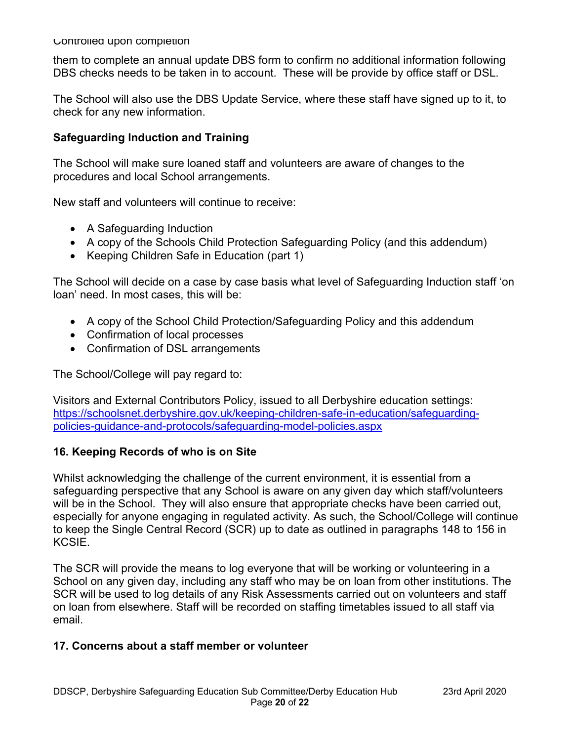them to complete an annual update DBS form to confirm no additional information following DBS checks needs to be taken in to account. These will be provide by office staff or DSL.

The School will also use the DBS Update Service, where these staff have signed up to it, to check for any new information.

#### **Safeguarding Induction and Training**

The School will make sure loaned staff and volunteers are aware of changes to the procedures and local School arrangements.

New staff and volunteers will continue to receive:

- A Safeguarding Induction
- A copy of the Schools Child Protection Safeguarding Policy (and this addendum)
- Keeping Children Safe in Education (part 1)

The School will decide on a case by case basis what level of Safeguarding Induction staff 'on loan' need. In most cases, this will be:

- A copy of the School Child Protection/Safeguarding Policy and this addendum
- Confirmation of local processes
- Confirmation of DSL arrangements

The School/College will pay regard to:

Visitors and External Contributors Policy, issued to all Derbyshire education settings: https://schoolsnet.derbyshire.gov.uk/keeping-children-safe-in-education/safeguardingpolicies-guidance-and-protocols/safeguarding-model-policies.aspx

#### **16. Keeping Records of who is on Site**

Whilst acknowledging the challenge of the current environment, it is essential from a safeguarding perspective that any School is aware on any given day which staff/volunteers will be in the School. They will also ensure that appropriate checks have been carried out, especially for anyone engaging in regulated activity. As such, the School/College will continue to keep the Single Central Record (SCR) up to date as outlined in paragraphs 148 to 156 in KCSIE.

The SCR will provide the means to log everyone that will be working or volunteering in a School on any given day, including any staff who may be on loan from other institutions. The SCR will be used to log details of any Risk Assessments carried out on volunteers and staff on loan from elsewhere. Staff will be recorded on staffing timetables issued to all staff via email.

#### **17. Concerns about a staff member or volunteer**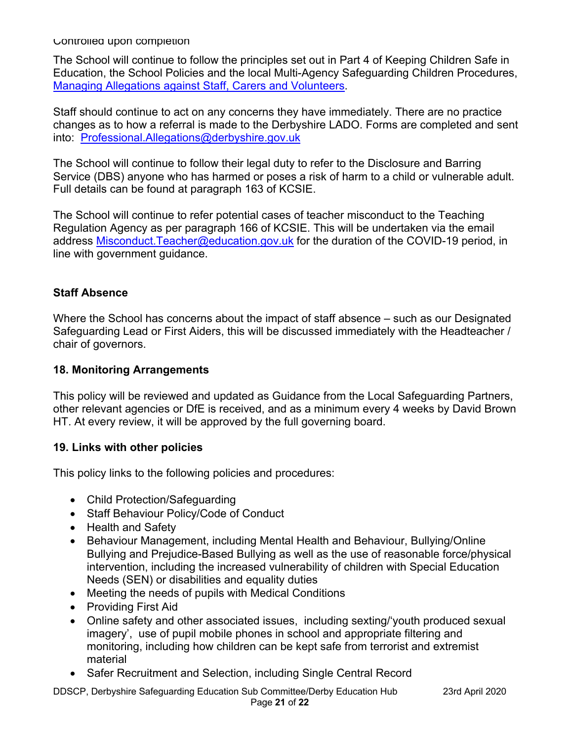The School will continue to follow the principles set out in Part 4 of Keeping Children Safe in Education, the School Policies and the local Multi-Agency Safeguarding Children Procedures, Managing Allegations against Staff, Carers and Volunteers.

Staff should continue to act on any concerns they have immediately. There are no practice changes as to how a referral is made to the Derbyshire LADO. Forms are completed and sent into: Professional.Allegations@derbyshire.gov.uk

The School will continue to follow their legal duty to refer to the Disclosure and Barring Service (DBS) anyone who has harmed or poses a risk of harm to a child or vulnerable adult. Full details can be found at paragraph 163 of KCSIE.

The School will continue to refer potential cases of teacher misconduct to the Teaching Regulation Agency as per paragraph 166 of KCSIE. This will be undertaken via the email address Misconduct. Teacher@education.gov.uk for the duration of the COVID-19 period, in line with government guidance.

#### **Staff Absence**

Where the School has concerns about the impact of staff absence – such as our Designated Safeguarding Lead or First Aiders, this will be discussed immediately with the Headteacher / chair of governors.

#### **18. Monitoring Arrangements**

This policy will be reviewed and updated as Guidance from the Local Safeguarding Partners, other relevant agencies or DfE is received, and as a minimum every 4 weeks by David Brown HT. At every review, it will be approved by the full governing board.

#### **19. Links with other policies**

This policy links to the following policies and procedures:

- Child Protection/Safeguarding
- Staff Behaviour Policy/Code of Conduct
- Health and Safety
- Behaviour Management, including Mental Health and Behaviour, Bullying/Online Bullying and Prejudice-Based Bullying as well as the use of reasonable force/physical intervention, including the increased vulnerability of children with Special Education Needs (SEN) or disabilities and equality duties
- Meeting the needs of pupils with Medical Conditions
- Providing First Aid
- Online safety and other associated issues, including sexting/'youth produced sexual imagery', use of pupil mobile phones in school and appropriate filtering and monitoring, including how children can be kept safe from terrorist and extremist material
- Safer Recruitment and Selection, including Single Central Record

DDSCP, Derbyshire Safeguarding Education Sub Committee/Derby Education Hub 23rd April 2020